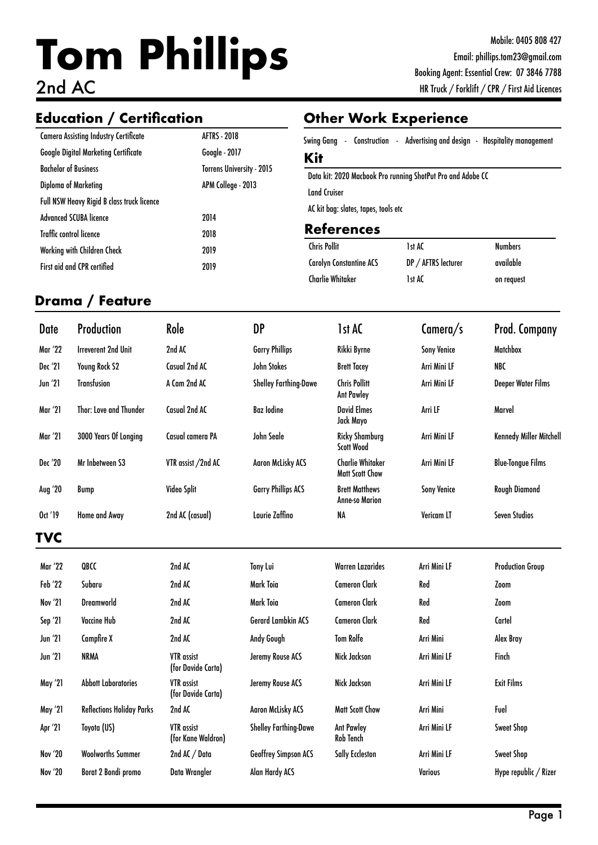# **Tom Phillips** 2nd AC

# **Education / Certification Other Work Experience**

| <b>Camera Assisting Industry Certificate</b> | <b>AFTRS - 2018</b>       |
|----------------------------------------------|---------------------------|
| <b>Google Digital Marketing Certificate</b>  | Google - 2017             |
| <b>Bachelor of Business</b>                  | Torrens University - 2015 |
| Diploma of Marketing                         | APM College - 2013        |
| Full NSW Heavy Rigid B class truck licence   |                           |
| <b>Advanced SCUBA licence</b>                | 2014                      |
| <b>Traffic control licence</b>               | 2018                      |
| Working with Children Check                  | 2019                      |
| <b>First aid and CPR certified</b>           | 2019                      |

|            |  |  | Swing Gang - Construction - Advertising and design - Hospitality management |
|------------|--|--|-----------------------------------------------------------------------------|
| <b>Kit</b> |  |  |                                                                             |

Data kit: 2020 Macbook Pro running ShotPut Pro and Adobe CC Land Cruiser AC kit bag: slates, tapes, tools etc

### **References**

| <b>Chris Pollit</b>            | 1st AC              | <b>Numbers</b> |
|--------------------------------|---------------------|----------------|
| <b>Carolyn Constantine ACS</b> | DP / AFTRS lecturer | available      |
| Charlie Whitaker               | 1st AC              | on request     |

### **Drama / Feature**

| Date           | <b>Production</b>          | Role               | DP                           | 1st AC                                            | Camera/s           | <b>Prod. Company</b>           |
|----------------|----------------------------|--------------------|------------------------------|---------------------------------------------------|--------------------|--------------------------------|
| <b>Mar '22</b> | <b>Irreverent 2nd Unit</b> | 2nd AC             | <b>Garry Phillips</b>        | Rikki Byrne                                       | <b>Sony Venice</b> | <b>Matchbox</b>                |
| Dec '21        | <b>Young Rock S2</b>       | Casual 2nd AC      | John Stokes                  | <b>Brett Tacey</b>                                | Arri Mini LF       | <b>NBC</b>                     |
| <b>Jun</b> '21 | <b>Transfusion</b>         | A Cam 2nd AC       | <b>Shelley Farthing-Dawe</b> | <b>Chris Pollitt</b><br><b>Ant Pawley</b>         | Arri Mini LF       | Deeper Water Films             |
| <b>Mar '21</b> | Thor: Love and Thunder     | Casual 2nd AC      | <b>Baz</b> lodine            | <b>David Elmes</b><br>Jack Mayo                   | Arri LF            | Marvel                         |
| Mar '21        | 3000 Years Of Longing      | Casual camera PA   | John Seale                   | <b>Ricky Shamburg</b><br><b>Scott Wood</b>        | Arri Mini LF       | <b>Kennedy Miller Mitchell</b> |
| Dec '20        | Mr Inbetween S3            | VTR assist /2nd AC | <b>Aaron McLisky ACS</b>     | <b>Charlie Whitaker</b><br><b>Matt Scott Chow</b> | Arri Mini LF       | <b>Blue-Tongue Films</b>       |
| Aug '20        | Bump                       | Video Split        | <b>Garry Phillips ACS</b>    | <b>Brett Matthews</b><br><b>Anne-so Marion</b>    | <b>Sony Venice</b> | Rough Diamond                  |
| Oct '19        | Home and Away              | 2nd AC (casual)    | Lavrie Zaffino               | NA                                                | Vericam LT         | <b>Seven Studios</b>           |
| TVC            |                            |                    |                              |                                                   |                    |                                |
| Mar '22        | QBCC                       | 2nd AC             | Tony Lui                     | <b>Warren Lazarides</b>                           | Arri Mini LF       | <b>Production Group</b>        |
| Feh '77        | Suharu                     | 2nd AC             | Mark Toia                    | Cameron Clark                                     | Red                | 7 <sub>nom</sub>               |

| 111. LL        | wurr                             | LIIU AL                                 | IVIIY LUI                    |                                |                | <b>THOMATION ATACA</b> |
|----------------|----------------------------------|-----------------------------------------|------------------------------|--------------------------------|----------------|------------------------|
| Feb '22        | Subaru                           | 2nd AC                                  | Mark Toia                    | <b>Cameron Clark</b>           | Red            | Zoom                   |
| Nov '21        | <b>Dreamworld</b>                | 2nd AC                                  | Mark Toia                    | <b>Cameron Clark</b>           | Red            | Zoom                   |
| Sep '21        | <b>Vaccine Hub</b>               | 2nd AC                                  | <b>Gerard Lambkin ACS</b>    | <b>Cameron Clark</b>           | Red            | Cartel                 |
| <b>Jun</b> '21 | Campfire X                       | 2nd AC                                  | Andy Gough                   | <b>Tom Rolfe</b>               | Arri Mini      | Alex Bray              |
| <b>Jun</b> '21 | <b>NRMA</b>                      | <b>VTR</b> assist<br>(for Davide Carta) | Jeremy Rouse ACS             | Nick Jackson                   | Arri Mini LF   | Finch                  |
| May '21        | <b>Abbott Laboratories</b>       | VTR assist<br>(for Davide Carta)        | Jeremy Rouse ACS             | Nick Jackson                   | Arri Mini LF   | <b>Exit Films</b>      |
| May '21        | <b>Reflections Holiday Parks</b> | 2nd AC                                  | <b>Agron McLisky ACS</b>     | <b>Matt Scott Chow</b>         | Arri Mini      | Fuel                   |
| Apr '21        | Toyota (US)                      | <b>VTR</b> assist<br>(for Kane Waldron) | <b>Shelley Farthing-Dawe</b> | <b>Ant Pawley</b><br>Rob Tench | Arri Mini LF   | Sweet Shop             |
| <b>Nov '20</b> | <b>Woolworths Summer</b>         | 2nd AC / Data                           | <b>Geoffrey Simpson ACS</b>  | <b>Sally Eccleston</b>         | Arri Mini LF   | Sweet Shop             |
| <b>Nov '20</b> | Borat 2 Bondi promo              | <b>Data Wrangler</b>                    | <b>Alan Hardy ACS</b>        |                                | <b>Various</b> | Hype republic / Rizer  |